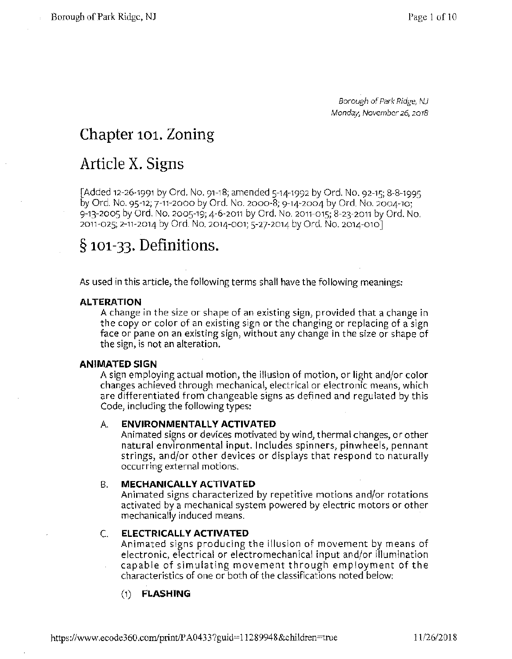Borough of Park Ridge, NJ **Monday, November 26, 2018** 

### **Chapter 101. Zoning**

### **Article X. Signs**

[Added 12-26-1991 by Ord. No. 91-18; amended 5-14-1992 by Ord. No. 92-15; 8-8-1995 by Ord. No. 95-12; 7-11-2000 by Ord. No. 2000-8; 9-14-2004 by Ord. No. 2004-10; 9-13-2005 by Ord. No. 2005-19; 4-6-2011 by Ord. No. 2011-015; 8-23-2011 by Ord. No. 2011-025; 2-11-2014 by Ord. No. 2014-001; 5-27-2014 by Ord. No. 2014-010 J

### § **101-33. Definitions.**

As used in this article, the following terms shall have the following meanings:

#### **ALTERATION**

A change in the size or shape of an existing sign, provided that a change in the copy or color of an existing sign or the changing or replacing of a sign face or pane on an existing sign, without any change in the size or shape of the sign, is not an alteration.

#### **ANIMATED SIGN**

A sign employing actual motion, the illusion of motion, or light and/or color changes achieved through mechanical, electrical or electronic means, which are differentiated from changeable signs as defined and regulated by this Code, including the following types:

#### A. **ENVIRONMENTALLY ACTIVATED**

Animated signs or devices motivated by wind, thermal changes, or other natural environmental input. Includes spinners, pinwheels, pennant strings, and/or other devices or displays that respond to naturally occurring external motions.

#### B. **MECHANICALLY ACTIVATED**

Animated signs characterized by repetitive motions and/or rotations activated by a mechanical system powered by electric motors or other mechanically induced means.

#### C. **ELECTRICALLY ACTIVATED**

Animated signs producing the illusion of movement by means of electronic, electrical or electromechanical input and/or illumination capable of simulating movement through employment of the characteristics of one or both of the classifications noted below:

### (1) **FLASHING**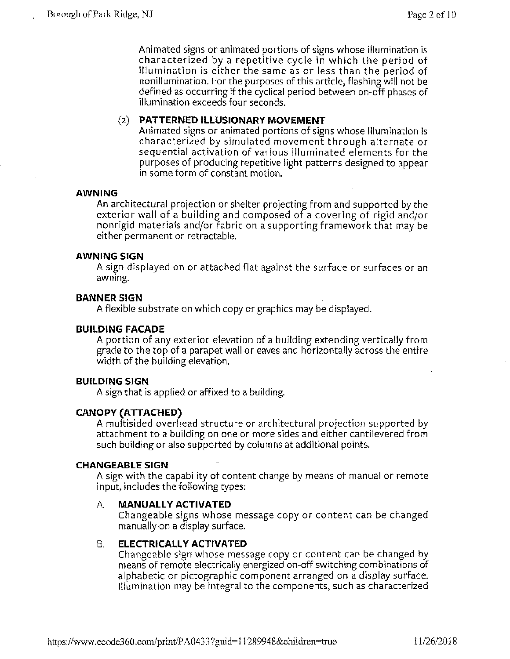Animated signs or animated portions of signs whose illumination is characterized by a repetitive cycle in which the period of illumination is either the same as or less than the period of nonillumination. For the purposes of this article, flashing will not be defined as occurring if the cyclical period between on-off phases of illumination exceeds four seconds.

### (2) **PATTERNED ILLUSIONARY MOVEMENT**

Animated signs or animated portions of signs whose illumination is characterized by simulated movement through alternate or sequential activation of various illuminated elements for the purposes of producing repetitive light patterns designed to appear in some form of constant motion.

#### **AWNING**

An architectural projection or shelter projecting from and supported by the exterior wall of a building and composed of a covering of rigid and/or nonrigid materials and/or fabric on a supporting framework that may be either permanent or retractable.

#### **AWNING SIGN**

A sign displayed on or attached flat against the surface or surfaces or an awning.

#### **BANNER SIGN** ,

A flexible substrate on which copy or graphics may be displayed.

#### **BUILDING FACADE**

A portion of any exterior elevation of a building extending vertically from grade to the top of a parapet wall or eaves and horizontally across the entire width of the building elevation.

#### **BUILDING SIGN**

A sign that is applied or affixed to a building.

#### **CANOPY (ATTACHED)**

A multisided overhead structure or architectural projection supported by attachment to a building on one or more sides and either cantilevered from such building or also supported by columns at additional points.

#### **CHANGEABLE SIGN**

A sign with the capability of content change by means of manual or remote input, includes the following types:

#### A. **MANUALLY ACTIVATED**

Changeable signs whose message copy or content can be changed manually on a display surface.

#### B. **ELECTRICALLY ACTIVATED**

Changeable sign whose message copy or content can be changed by means of remote electrically energized on-off switching combinations of alphabetic or pictographic component arranged on a display surface. Illumination may be integral to the components, such as characterized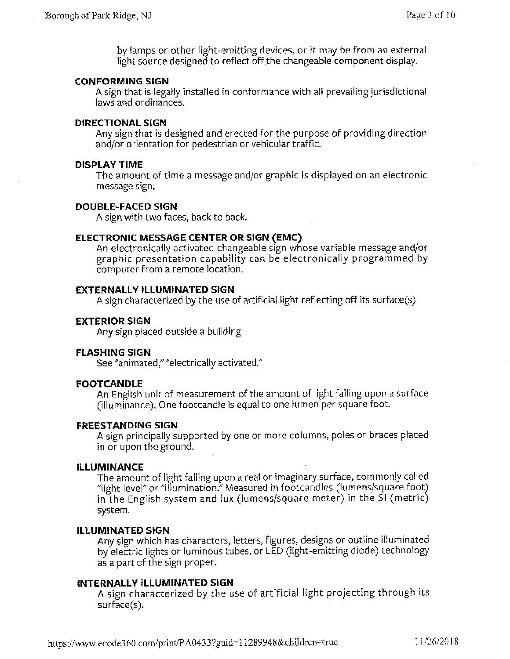by lamps or other light-emitting devices, or it may be from an external light source designed to reflect off the changeable component display.

#### **CONFORMING SIGN**

A sign that is legally installed in conformance with all prevailing jurisdictional laws and ordinances.

#### **DIRECTIONAL SIGN**

Any sign that is designed and erected for the purpose of providing direction and/or orientation for pedestrian or vehicular traffic.

#### **DISPLAY TIME**

The amount of time a message and/or graphic is displayed on an electronic message sign.

#### **DOUBLE-FACED SIGN**

A sign with two faces, back to back.

#### **ELECTRONIC MESSAGE CENTER OR SIGN (EMC)**

An electronically activated changeable sign whose variable message and/or graphic presentation capability can be electronically programmed by computer from a remote location.

#### **EXTERNALLY ILLUMINATED SIGN**

A sign characterized by the use of artificial light reflecting off its surface(s)

#### **EXTERIOR SIGN**

Any sign placed outside a building.

#### **FLASHING SIGN**

See "animated," "electrically activated."

#### **FOOTCANDLE**

An English unit of measurement of the amount of light falling upon a surface (illuminance). One footcandle is equal to one lumen per square foot.

#### **FREESTANDING SIGN**

A sign principally supported by one or more columns, poles or braces placed in or upon the ground.

#### **ILLUMINANCE**

The amount of light falling upon a real or imaginary surface, commonly called "light level" or "illumination." Measured in footcandles (lumens/square foot) in the English system and lux (lumens/square meter) in the SI (metric) system.

#### **ILLUMINATED SIGN**

Any sign which has characters, letters, figures, designs or outline illuminated by electric lights or luminous tubes, or LED (light-emitting diode) technology as a part of the sign proper.

#### **INTERNALLY ILLUMINATED SIGN**

A sign characterized by the use of artificial light projecting through its surface(s).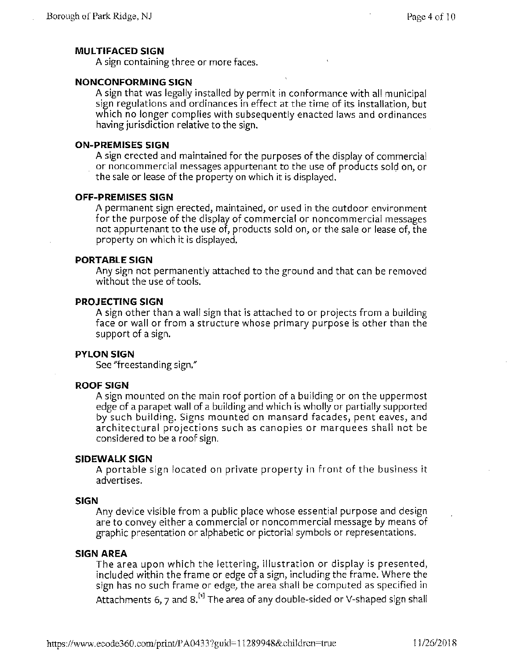#### **MUL TIFACED SIGN**

A sign containing three or more faces.

#### **NONCONFORMING SIGN**

A sign that was legally installed by permit in conformance with all municipal sign regulations and ordinances in effect at the time of its installation, but which no longer complies with subsequently enacted laws and ordinances having jurisdiction relative to the sign.

#### **ON-PREMISES SIGN**

A sign erected and maintained for the purposes of the display of commercial or noncommercial messages appurtenant to the use of products sold on, or the sale or lease of the property on which it is displayed.

#### **OFF-PREMISES SIGN**

A permanent sign erected, maintained, or used in the outdoor environment for the purpose of the display of commercial or noncommercial messages not appurtenant to the use of, products sold on, or the sale or lease of, the property on which it is displayed.

#### **PORTABLE SIGN**

Any sign not permanently attached to the ground and that can be removed without the use of tools.

#### **PROJECTING SIGN**

A sign other than a wall sign that is attached to or projects from a building face or wall or from a structure whose primary purpose is other than the support of a sign.

#### **PYLON SIGN**

See "freestanding sign."

#### **ROOF SIGN**

A sign mounted on the main roof portion of a building or on the uppermost edge of a parapet wall of a building and which is wholly or partially supported by such building. Signs mounted on mansard facades, pent eaves, and architectural projections such as canopies or marquees shall not be considered to be a roof sign.

#### **SIDEWALK SIGN**

A portable sign located on private property in front of the business it advertises.

#### **SIGN**

Any device visible from a public place whose essential purpose and design are to convey either a commercial or noncommercial message by means of graphic presentation or alphabetic or pictorial symbols or representations.

#### **SIGN AREA**

The area upon which the lettering, illustration or display is presented, included within the frame or edge of a sign, including the frame. Where the sign has no such frame or edge, the area shall be computed as specified in Attachments 6, 7 and 8. $^{[1]}$  The area of any double-sided or V-shaped sign shall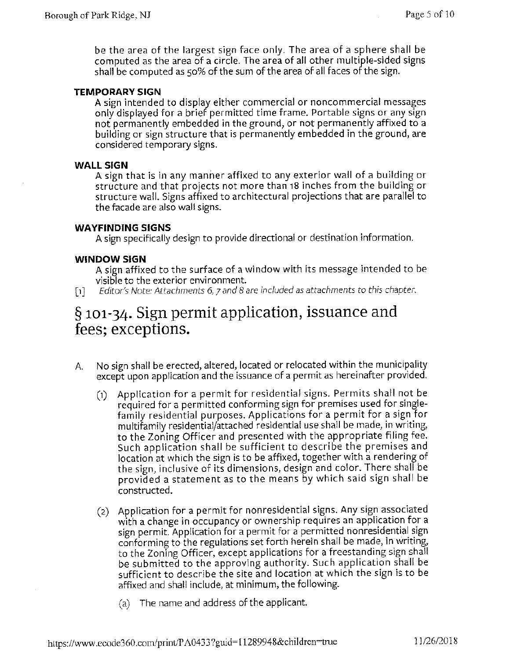be the area of the largest sign face only. The area of a sphere shall be computed as the area of a circle. The area of all other multiple-sided signs shall be computed as 50% of the sum of the area of all faces of the sign.

#### **TEMPORARY SIGN**

A sign intended to display either commercial or noncommercial messages only displayed for a brief permitted time frame. Portable signs or any sign not permanently embedded in the ground, or not permanently affixed to a building or sign structure that is permanently embedded in the ground, are considered temporary signs.

#### **WALL SIGN**

A sign that is in any manner affixed to any exterior wall of a building or structure and that projects not more than 18 inches from the building or structure wall. Signs affixed to architectural projections that are parallel to the facade are also wall signs.

#### **WAYFINDING SIGNS**

A sign specifically design to provide directional or destination information.

#### **WINDOW SIGN**

A sign affixed to the surface of a window with its message intended to be visible to the exterior environment.

[1] *Editor's Note: Attachments 6, 7 and 8 are included as attachments to this chapter.* 

### § **101-34. Sign permit application, issuance and fees; exceptions.**

- A. No sign shall be erected, altered, located or relocated within the municipality except upon application and the issuance of a permit as hereinafter provided.
	- (1) Application for a permit for residential signs. Permits shall not be required for a permitted conforming sign for premises used for singlefamily residential purposes. Applications for a permit for a sign for multifamily residential/attached residential use shall be made, in writing, to the Zoning Officer and presented with the appropriate filing fee. Such application shall be sufficient to describe the premises and location at which the sign is to be affixed, together with a rendering of the sign, inclusive of its dimensions, design and color. There shall be provided a statement as to the means by which said sign shall be constructed.
	- (2) Application for a permit for nonresidential signs. Any sign associated with a change in occupancy or ownership requires an application for a sign permit. Application for a permit for a permitted nonresidential sign conforming to the regulations set forth herein shall be made, in writing, to the Zoning Officer, except applications for a freestanding sign shall be submitted to the approving authority. Such application shall be sufficient to describe the site and location at which the sign is to be affixed and shall include, at minimum, the following.
		- (a) The name and address of the applicant.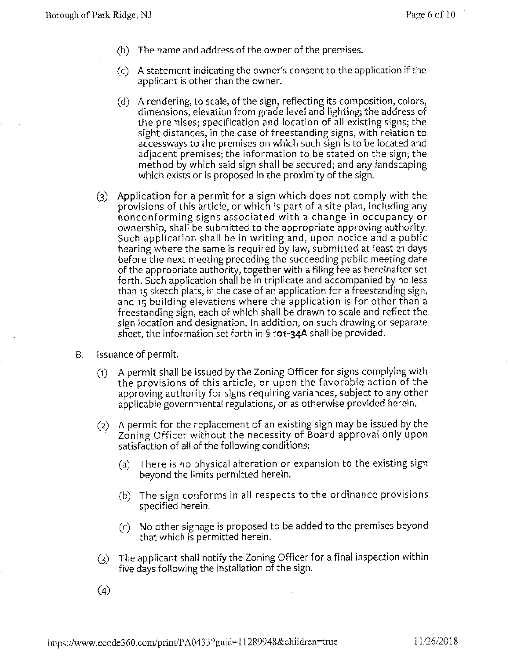- (b) The name and address of the owner of the premises.
- (c) A statement indicating the owner's consent to the application if the applicant is other than the owner.
- (d) A rendering, to scale, of the sign, reflecting its composition, colors, dimensions, elevation from grade level and lighting; the address of the premises; specification and location of all existing signs; the sight distances, in the case of freestanding signs, with relation to accessways to the premises on which such sign is to be located and adjacent premises; the information to be stated on the sign; the method by which said sign shall be secured; and any landscaping which exists or is proposed in the proximity of the sign.
- (3) Application for a permit for a sign which does not comply with the provisions of this article, or which is part of a site plan, including any nonconforming signs associated with a change in occupancy or ownership, shall be submitted to the appropriate approving authority. Such application shall be in writing and, upon notice and a public hearing where the same is required by law, submitted at least 21 days before the next meeting preceding the succeeding public meeting date of the appropriate authority, together with a filing fee as hereinafter set forth. Such application shall be in triplicate and accompanied by no less than 15 sketch plats, in the case of an application for a freestanding sign, and 15 building elevations where the application is for other than a freestanding sign, each of which shall be drawn to scale and reflect the sign location and designation. In addition, on such drawing or separate sheet, the information set forth in§ **101-34A** shall be provided.
- B. Issuance of permit.
	- (1) A permit shall be issued by the Zoning Officer for signs complying with the provisions of this article, or upon the favorable action of the approving authority for signs requiring variances, subject to any other applicable governmental regulations, or as otherwise provided herein.
	- (2) A permit for the replacement of an existing sign may be issued by the Zoning Officer without the necessity of Board approval only upon satisfaction of all of the following conditions:
		- (a) There is no physical alteration or expansion to the existing sign beyond the limits permitted herein.
		- (b) The sign conforms in all respects to the ordinance provisions specified herein.
		- (c) No other signage is proposed to be added to the premises beyond that which is permitted herein.
	- (3) The applicant shall notify the Zoning Officer for a final inspection within five days following the installation of the sign.
	- (4)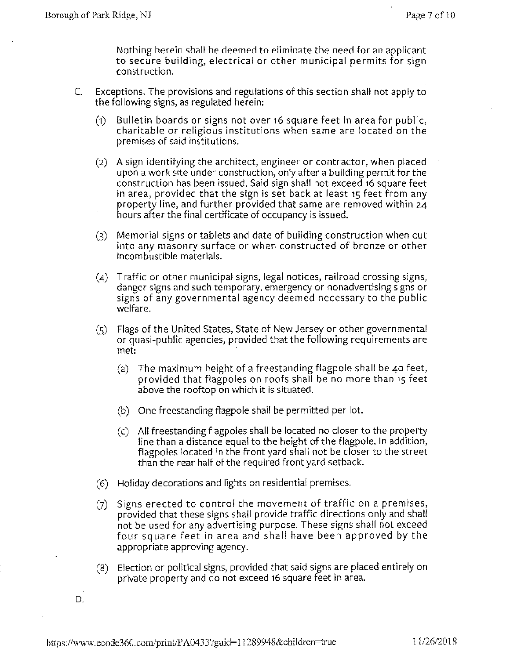Nothing herein shall be deemed to eliminate the need for an applicant to secure building, electrical or other municipal permits for sign construction.

- C. Exceptions. The provisions and regulations of this section shall not apply to the following signs, as regulated herein:
	- (1) Bulletin boards or signs not over 16 square feet in area for public, charitable or religious institutions when same are located on the premises of said institutions.
	- (2) A sign identifying the architect, engineer or contractor, when placed upon a work site under construction, only after a building permit for the construction has been issued. Said sign shall not exceed 16 square feet in area, provided that the sign is set back at least 15 feet from any property line, and further provided that same are removed within 24 hours after the final certificate of occupancy is issued.
	- (3) Memorial signs or tablets and date of building construction when cut into any masonry surface or when constructed of bronze or other incombustible materials.
	- (4) Traffic or other municipal signs, legal notices, railroad crossing signs, danger signs and such temporary, emergency or nonadvertising signs or signs of any governmental agency deemed necessary to the public welfare.
	- (5) Flags of the United States, State of New Jersey or other governmental or quasi-public agencies, provided that the following requirements are met:
		- (a) The maximum height of a freestanding flagpole shall be 40 feet, provided that flagpoles on roofs shall be no more than 15 feet above the rooftop on which it is situated.
		- (b) One freestanding flagpole shall be permitted per lot.
		- (c) All freestanding flagpoles shall be located no closer to the property line than a distance equal to the height of the flagpole. In addition, flagpoles located in the front yard shall not be closer to the street than the rear half of the required front yard setback.
	- (6) Holiday decorations and lights on residential premises.
	- (7) Signs erected to control the movement of traffic on a premises, provided that these signs shall provide traffic directions only and shall not be used for any advertising purpose. These signs shall not exceed four square feet in area and shall have been approved by the appropriate approving agency.
	- (8) Election or political signs, provided that said signs are placed entirely on private property and do not exceed 16 square feet in area.
- D.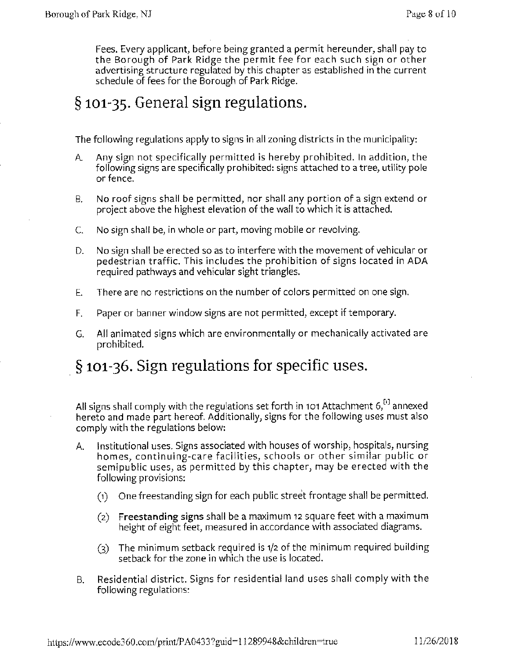Fees. Every applicant, before being granted a permit hereunder, shall pay to the Borough of Park Ridge the permit fee for each such sign or other advertising structure regulated by this chapter as established in the current schedule of fees for the Borough of Park Ridge.

### § **101-35. General sign regulations.**

The following regulations apply to signs in all zoning districts in the municipality:

- A Any sign not specifically permitted is hereby prohibited. In addition, the following signs are specifically prohibited: signs attached to a tree, utility pole or fence.
- B. No roof signs shall be permitted, nor shall any portion of a sign extend or project above the highest elevation of the wall to which it is attached.
- C. No sign shall be, in whole or part, moving mobile or revolving.
- D. No sign shall be erected so as to interfere with the movement of vehicular or pedestrian traffic. This includes the prohibition of signs located in ADA required pathways and vehicular sight triangles.
- E. There are no restrictions on the number of colors permitted on one sign.
- F. Paper or banner window signs are not permitted, except if temporary.
- G. All animated signs which are environmentally or mechanically activated are prohibited.

### § **101-36. Sign regulations for specific** uses.

All signs shall comply with the regulations set forth in 101 Attachment  $6<sup>[0]</sup>$  annexed hereto and made part hereof. Additionally, signs for the following uses must also comply with the regulations below:

- A. Institutional uses. Signs associated with houses of worship, hospitals, nursing homes, continuing-care facilities, schools or other similar public or semipublic uses, as permitted by this chapter, may be erected with the following provisions:
	- (1) One freestanding sign for each public street frontage shall be permitted.
	- (2) **Freestanding signs** shall be a maximum 12 square feet with a maximum height of eight feet, measured in accordance with associated diagrams.
	- (3) The minimum setback required is 1/2 of the minimum required building setback for the zone in which the use is located.
- B. Residential district. Signs for residential land uses shall comply with the following regulations: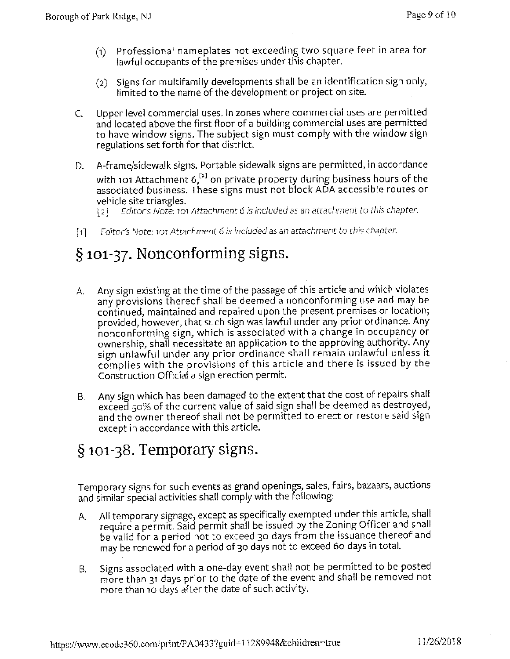- (1) Professional nameplates not exceeding two square feet in area for lawful occupants of the premises under this chapter.
- (2) Signs for multifamily developments shall be an identification sign only, limited to the name of the development or project on site.
- C. Upper level commercial uses. In zones where commercial uses are permitted and located above the first floor of a building commercial uses are permitted to have window signs. The subject sign must comply with the window sign regulations set forth for that district.
- D. A-frame/sidewalk signs. Portable sidewalk signs are permitted, in accordance with 101 Attachment 6, $^{12}$  on private property during business hours of the associated business. These signs must not block ADA accessible routes or vehicle site triangles.

[ 2 J *Editors Note:* 101 *Attachment* 6 *is included as an attachment* to *this chapter.* 

[1] *Editor's Note:* 101 *Attachment* 6 *is included as an attachment* to *this chapter.* 

# § **101-37. Nonconforming signs.**

- A. Any sign existing at the time of the passage of this article and which violates any provisions thereof shall be deemed a nonconforming use and may be continued, maintained and repaired upon the present premises or location; provided, however, that such sign was lawful under any prior ordinance. Any nonconforming sign, which is associated with a change in occupancy or ownership, shall necessitate an application to the approving authority. Any sign unlawful under any prior ordinance shall remain unlawful unless it complies with the provisions of this article and there is issued by the Construction Official a sign erection permit.
- 8. Any sign which has been damaged to the extent that the cost of repairs shall exceed 50% of the current value of said sign shall be deemed as destroyed, and the owner thereof shall not be permitted to erect or restore said sign except in accordance with this article.

### § **101-38. Temporary signs.**

Temporary signs for such events as grand openings, sales, fairs, bazaars, auctions and similar special activities shall comply with the following:

- A. All temporary signage, except as specifically exempted under this article, shall require a permit. Said permit shall be issued by the Zoning Officer and shall be valid for a period not to exceed 30 days from the issuance thereof and may be renewed for a period of 30 days not to exceed 60 days in total.
- 8. · Signs associated with a one-day event shall not be permitted to be posted more than 31 days prior to the date of the event and shall be removed not more than 10 days after the date of such activity.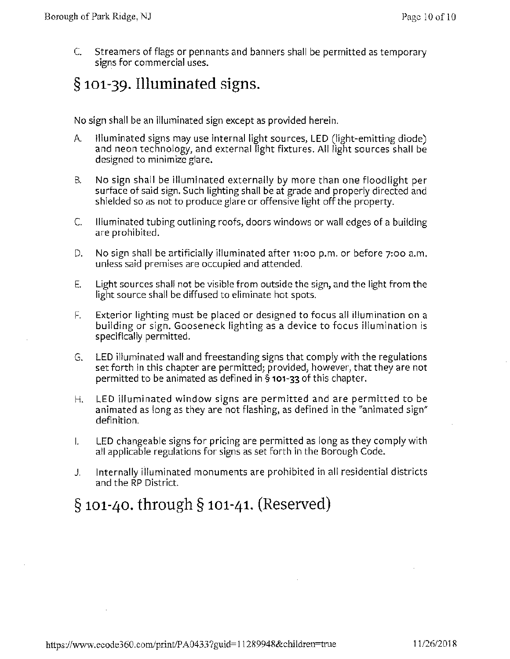C. Streamers of flags or pennants and banners shall be permitted as temporary signs for commercial uses.

## § **101-39. Illuminated signs.**

No sign shall be an illuminated sign except as provided herein.

- A. Illuminated signs may use internal light sources, LED (light-emitting diode) and neon technology, and external light fixtures. All light sources shall be designed to minimize glare.
- B. No sign shall be illuminated externally by more than one floodlight per surface of said sign. Such lighting shall be at grade and properly directed and shielded so as not to produce glare or offensive light off the property.
- C. Illuminated tubing outlining roofs, doors windows or wall edges of a building are prohibited.
- D. No sign shall be artificially illuminated after 11:00 p.m. or before 7:00 a.m. unless said premises are occupied and attended.
- E. Light sources shall not be visible from outside the sign, and the light from the light source shall be diffused to eliminate hot spots.
- F. Exterior lighting must be placed or designed to focus all illumination on a building or sign. Gooseneck lighting as a device to focus illumination is specifically permitted.
- G. LED illuminated wall and freestanding signs that comply with the regulations set forth in this chapter are permitted; provided, however, that they are not permitted to be animated as defined in§ **101-33** of this chapter.
- H. LED illuminated window signs are permitted and are permitted to be animated as long as they are not flashing, as defined in the "animated sign" definition.
- I. LED changeable signs for pricing are permitted as long as they comply with all applicable regulations for signs as set forth in the Borough Code.
- J. Internally illuminated monuments are prohibited in all residential districts and the RP District.

# § **101-40. through § 101-41. (Reserved)**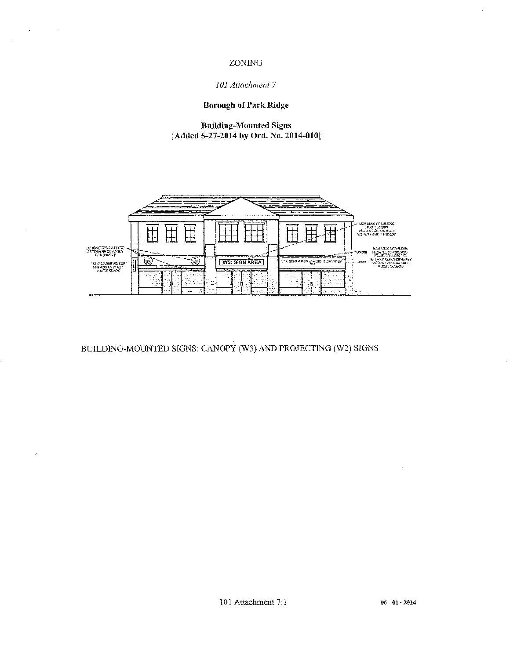#### ZONING

 $\ddot{\phantom{a}}$ 

#### *101 Attachment* 7

#### **Borough of Park Ridge**

**Building-Mounted Signs [Added 5-27-2014 by Ord. No. 2014-010]** 



BUILDING-MOUNTED SIGNS: CANOPY (W3) AND PROJECTING (W2) SIGNS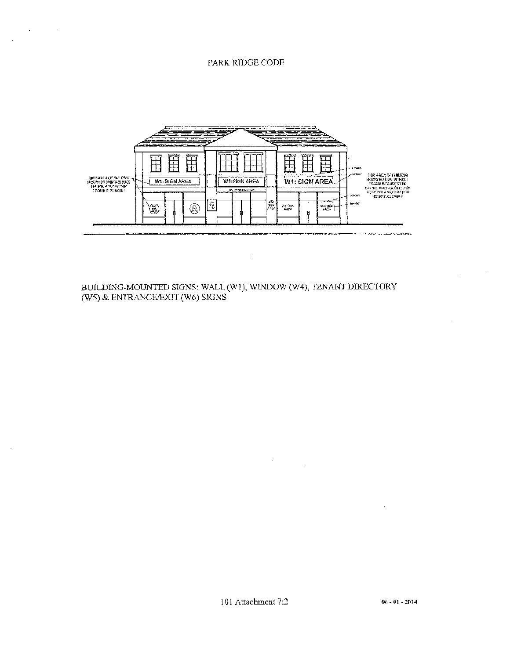#### PARK RIDGE CODE

**Service State** 

 $\mathbb{R}^2$ 



BUILDING-MOUNTED SIGNS: WALL (W1), WINDOW (W4), TENANT DIRECTORY (W5) & ENTRANCE/EXIT (W6) SIGNS

 $\ddot{\phantom{a}}$ 

101 Attachment 7:2

 $\sim$ 

 $\bar{z}$ 

 $\sim$   $\sim$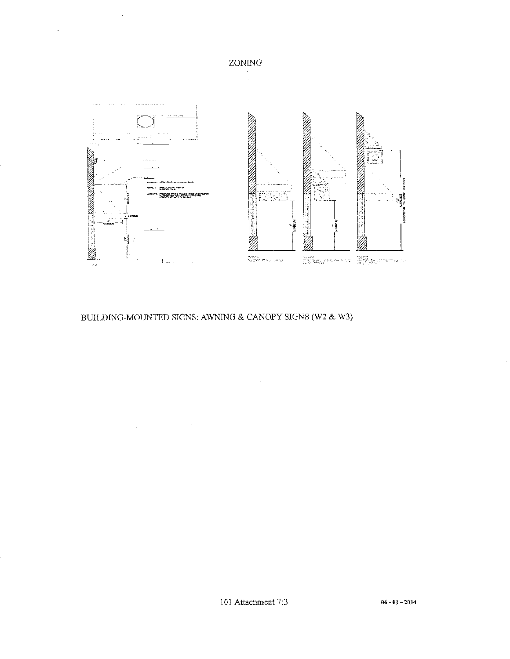

**ZONING**  $\mathcal{L}$ 

### BUILDING-MOUNTED SIGNS: AWNING & CANOPY SIGNS (W2 & W3)

 $\sim$ 

 $\mathcal{A}_\mathrm{c}$ 

 $\mathcal{L}^{\text{max}}_{\text{max}}$  and  $\mathcal{L}^{\text{max}}_{\text{max}}$ 

 $\bar{\beta}$ 

 $\mathcal{L}^{\pm}$ 

 $\sim$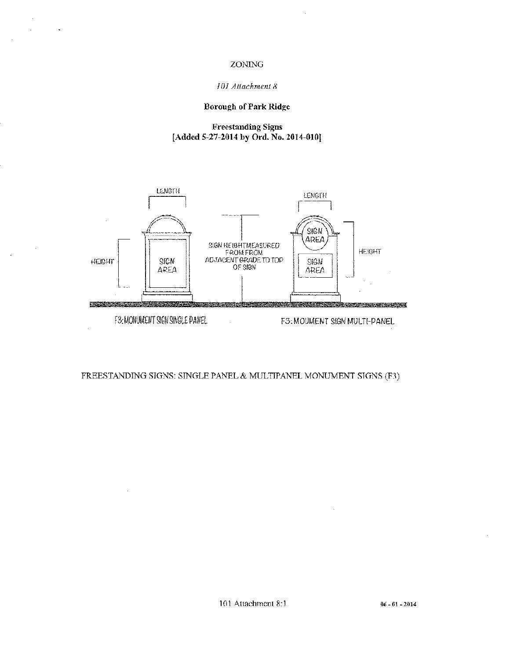#### ZONING

#### *1 OJ Attachment 8*

#### **Borough of Park Ridge**

#### **Freestanding Signs [Added 5-27-2014 by Ord. No. 2014-010]**



FREESTANDING SIGNS: SINGLE PANEL & MULTIPANEL MONUMENT SIGNS (F3)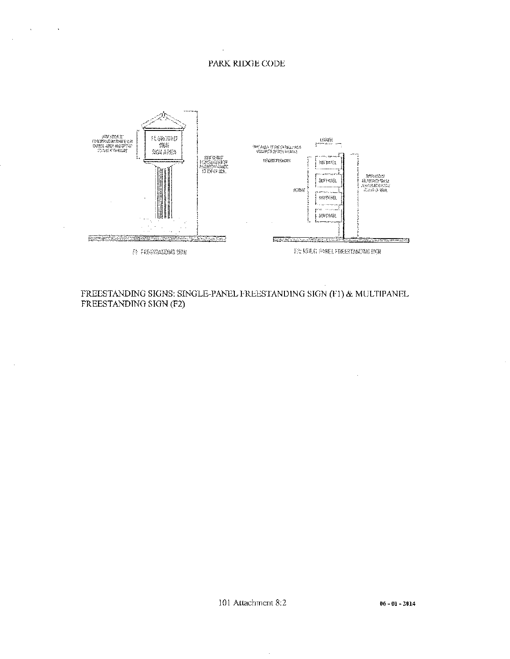#### PARK RJDGE CODE

 $\ddot{\phantom{1}}$ 

 $\sim$ 

 $\bar{z}$ 

 $\ddot{\phantom{0}}$ 



FREESTANDING SIGNS: SINGLE-PANEL FREESTANDING SIGN (F1) & MULTIPANEL FREESTANDING SIGN (F2)

 $\cdot$ 

 $\bar{z}$